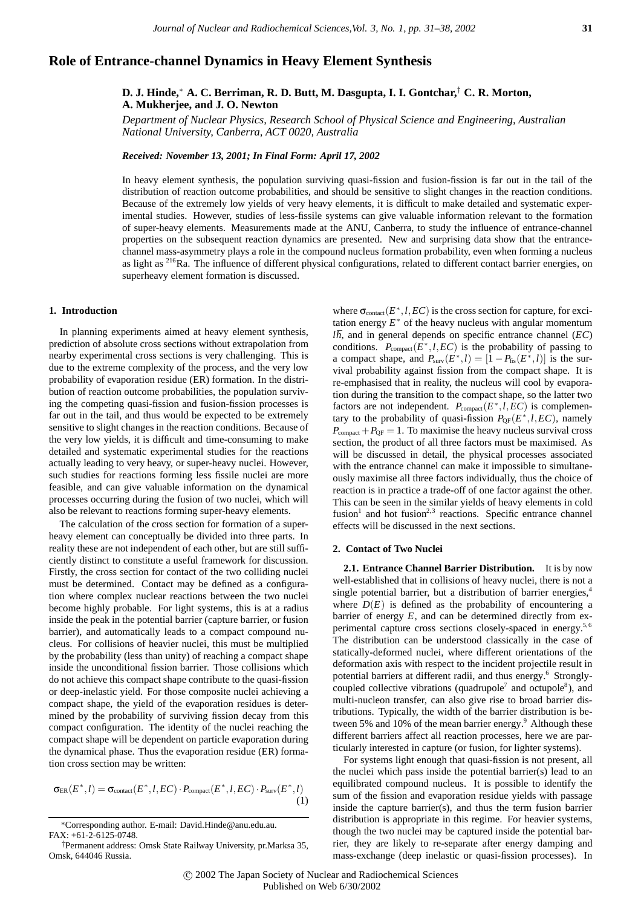# **Role of Entrance-channel Dynamics in Heavy Element Synthesis**

# **D. J. Hinde,**<sup>∗</sup> **A. C. Berriman, R. D. Butt, M. Dasgupta, I. I. Gontchar,**† **C. R. Morton, A. Mukherjee, and J. O. Newton**

*Department of Nuclear Physics, Research School of Physical Science and Engineering, Australian National University, Canberra, ACT 0020, Australia*

*Received: November 13, 2001; In Final Form: April 17, 2002*

In heavy element synthesis, the population surviving quasi-fission and fusion-fission is far out in the tail of the distribution of reaction outcome probabilities, and should be sensitive to slight changes in the reaction conditions. Because of the extremely low yields of very heavy elements, it is difficult to make detailed and systematic experimental studies. However, studies of less-fissile systems can give valuable information relevant to the formation of super-heavy elements. Measurements made at the ANU, Canberra, to study the influence of entrance-channel properties on the subsequent reaction dynamics are presented. New and surprising data show that the entrancechannel mass-asymmetry plays a role in the compound nucleus formation probability, even when forming a nucleus as light as <sup>216</sup>Ra. The influence of different physical configurations, related to different contact barrier energies, on superheavy element formation is discussed.

#### **1. Introduction**

In planning experiments aimed at heavy element synthesis, prediction of absolute cross sections without extrapolation from nearby experimental cross sections is very challenging. This is due to the extreme complexity of the process, and the very low probability of evaporation residue (ER) formation. In the distribution of reaction outcome probabilities, the population surviving the competing quasi-fission and fusion-fission processes is far out in the tail, and thus would be expected to be extremely sensitive to slight changes in the reaction conditions. Because of the very low yields, it is difficult and time-consuming to make detailed and systematic experimental studies for the reactions actually leading to very heavy, or super-heavy nuclei. However, such studies for reactions forming less fissile nuclei are more feasible, and can give valuable information on the dynamical processes occurring during the fusion of two nuclei, which will also be relevant to reactions forming super-heavy elements.

The calculation of the cross section for formation of a superheavy element can conceptually be divided into three parts. In reality these are not independent of each other, but are still sufficiently distinct to constitute a useful framework for discussion. Firstly, the cross section for contact of the two colliding nuclei must be determined. Contact may be defined as a configuration where complex nuclear reactions between the two nuclei become highly probable. For light systems, this is at a radius inside the peak in the potential barrier (capture barrier, or fusion barrier), and automatically leads to a compact compound nucleus. For collisions of heavier nuclei, this must be multiplied by the probability (less than unity) of reaching a compact shape inside the unconditional fission barrier. Those collisions which do not achieve this compact shape contribute to the quasi-fission or deep-inelastic yield. For those composite nuclei achieving a compact shape, the yield of the evaporation residues is determined by the probability of surviving fission decay from this compact configuration. The identity of the nuclei reaching the compact shape will be dependent on particle evaporation during the dynamical phase. Thus the evaporation residue (ER) formation cross section may be written:

$$
\sigma_{ER}(E^*,l) = \sigma_{\text{contact}}(E^*,l,EC) \cdot P_{\text{compact}}(E^*,l,EC) \cdot P_{\text{surv}}(E^*,l)
$$
\n(1)

where  $\sigma_{\text{contact}}(E^*, l, EC)$  is the cross section for capture, for excitation energy  $E^*$  of the heavy nucleus with angular momentum  $l\hbar$ , and in general depends on specific entrance channel ( $EC$ ) conditions.  $P_{\text{compact}}(E^*, l, EC)$  is the probability of passing to a compact shape, and  $P_{surv}(E^*, l) = [1 - P_{\text{fis}}(E^*, l)]$  is the survival probability against fission from the compact shape. It is re-emphasised that in reality, the nucleus will cool by evaporation during the transition to the compact shape, so the latter two factors are not independent.  $P_{\text{compact}}(E^*, l, EC)$  is complementary to the probability of quasi-fission  $P_{\text{QF}}(E^*, l, EC)$ , namely  $P_{\text{compact}} + P_{\text{OF}} = 1$ . To maximise the heavy nucleus survival cross section, the product of all three factors must be maximised. As will be discussed in detail, the physical processes associated with the entrance channel can make it impossible to simultaneously maximise all three factors individually, thus the choice of reaction is in practice a trade-off of one factor against the other. This can be seen in the similar yields of heavy elements in cold fusion<sup>1</sup> and hot fusion<sup>2,3</sup> reactions. Specific entrance channel effects will be discussed in the next sections.

## **2. Contact of Two Nuclei**

**2.1. Entrance Channel Barrier Distribution.** It is by now well-established that in collisions of heavy nuclei, there is not a single potential barrier, but a distribution of barrier energies,<sup>4</sup> where  $D(E)$  is defined as the probability of encountering a barrier of energy *E*, and can be determined directly from experimental capture cross sections closely-spaced in energy.<sup>5,6</sup> The distribution can be understood classically in the case of statically-deformed nuclei, where different orientations of the deformation axis with respect to the incident projectile result in potential barriers at different radii, and thus energy.<sup>6</sup> Stronglycoupled collective vibrations (quadrupole<sup>7</sup> and octupole<sup>8</sup>), and multi-nucleon transfer, can also give rise to broad barrier distributions. Typically, the width of the barrier distribution is between 5% and 10% of the mean barrier energy.<sup>9</sup> Although these different barriers affect all reaction processes, here we are particularly interested in capture (or fusion, for lighter systems).

For systems light enough that quasi-fission is not present, all the nuclei which pass inside the potential barrier(s) lead to an equilibrated compound nucleus. It is possible to identify the sum of the fission and evaporation residue yields with passage inside the capture barrier(s), and thus the term fusion barrier distribution is appropriate in this regime. For heavier systems, though the two nuclei may be captured inside the potential barrier, they are likely to re-separate after energy damping and mass-exchange (deep inelastic or quasi-fission processes). In

<sup>∗</sup>Corresponding author. E-mail: David.Hinde@anu.edu.au.  $FAX: +61-2-6125-0748$ 

<sup>†</sup>Permanent address: Omsk State Railway University, pr.Marksa 35, Omsk, 644046 Russia.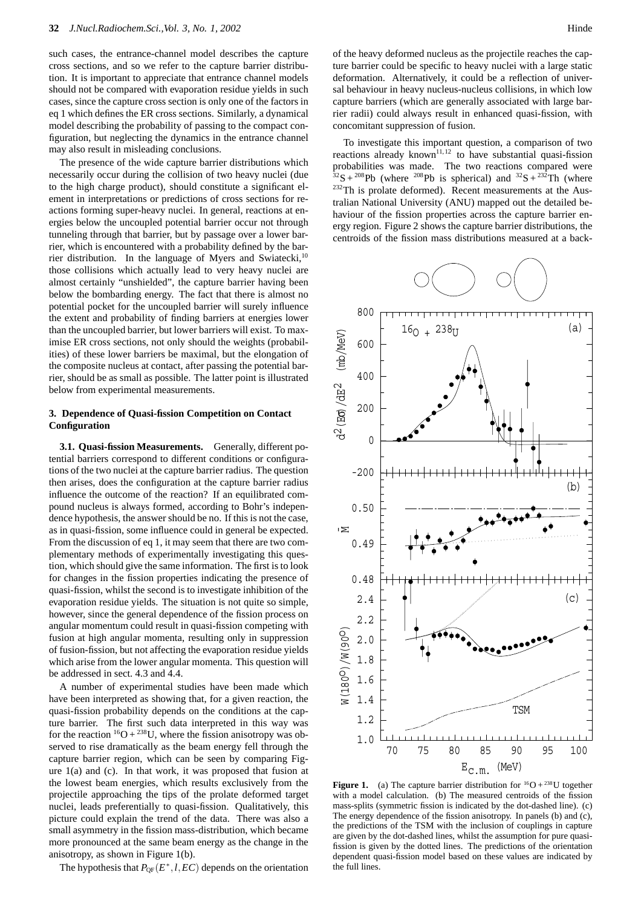such cases, the entrance-channel model describes the capture cross sections, and so we refer to the capture barrier distribution. It is important to appreciate that entrance channel models should not be compared with evaporation residue yields in such cases, since the capture cross section is only one of the factors in eq 1 which defines the ER cross sections. Similarly, a dynamical model describing the probability of passing to the compact configuration, but neglecting the dynamics in the entrance channel may also result in misleading conclusions.

The presence of the wide capture barrier distributions which necessarily occur during the collision of two heavy nuclei (due to the high charge product), should constitute a significant element in interpretations or predictions of cross sections for reactions forming super-heavy nuclei. In general, reactions at energies below the uncoupled potential barrier occur not through tunneling through that barrier, but by passage over a lower barrier, which is encountered with a probability defined by the barrier distribution. In the language of Myers and Swiatecki,<sup>10</sup> those collisions which actually lead to very heavy nuclei are almost certainly "unshielded", the capture barrier having been below the bombarding energy. The fact that there is almost no potential pocket for the uncoupled barrier will surely influence the extent and probability of finding barriers at energies lower than the uncoupled barrier, but lower barriers will exist. To maximise ER cross sections, not only should the weights (probabilities) of these lower barriers be maximal, but the elongation of the composite nucleus at contact, after passing the potential barrier, should be as small as possible. The latter point is illustrated below from experimental measurements.

## **3. Dependence of Quasi-fission Competition on Contact Configuration**

**3.1. Quasi-fission Measurements.** Generally, different potential barriers correspond to different conditions or configurations of the two nuclei at the capture barrier radius. The question then arises, does the configuration at the capture barrier radius influence the outcome of the reaction? If an equilibrated compound nucleus is always formed, according to Bohr's independence hypothesis, the answer should be no. If this is not the case, as in quasi-fission, some influence could in general be expected. From the discussion of eq 1, it may seem that there are two complementary methods of experimentally investigating this question, which should give the same information. The first is to look for changes in the fission properties indicating the presence of quasi-fission, whilst the second is to investigate inhibition of the evaporation residue yields. The situation is not quite so simple, however, since the general dependence of the fission process on angular momentum could result in quasi-fission competing with fusion at high angular momenta, resulting only in suppression of fusion-fission, but not affecting the evaporation residue yields which arise from the lower angular momenta. This question will be addressed in sect. 4.3 and 4.4.

A number of experimental studies have been made which have been interpreted as showing that, for a given reaction, the quasi-fission probability depends on the conditions at the capture barrier. The first such data interpreted in this way was for the reaction  ${}^{16}O + {}^{238}U$ , where the fission anisotropy was observed to rise dramatically as the beam energy fell through the capture barrier region, which can be seen by comparing Figure 1(a) and (c). In that work, it was proposed that fusion at the lowest beam energies, which results exclusively from the projectile approaching the tips of the prolate deformed target nuclei, leads preferentially to quasi-fission. Qualitatively, this picture could explain the trend of the data. There was also a small asymmetry in the fission mass-distribution, which became more pronounced at the same beam energy as the change in the anisotropy, as shown in Figure 1(b).

The hypothesis that  $P_{OF}(E^*, l, EC)$  depends on the orientation

To investigate this important question, a comparison of two reactions already known<sup>11,12</sup> to have substantial quasi-fission probabilities was made. The two reactions compared were  $32S + 208Pb$  (where  $208Pb$  is spherical) and  $32S + 232Tb$  (where <sup>232</sup>Th is prolate deformed). Recent measurements at the Australian National University (ANU) mapped out the detailed behaviour of the fission properties across the capture barrier energy region. Figure 2 shows the capture barrier distributions, the centroids of the fission mass distributions measured at a back-



**Figure 1.** (a) The capture barrier distribution for  ${}^{16}O + {}^{238}U$  together with a model calculation. (b) The measured centroids of the fission mass-splits (symmetric fission is indicated by the dot-dashed line). (c) The energy dependence of the fission anisotropy. In panels (b) and (c), the predictions of the TSM with the inclusion of couplings in capture are given by the dot-dashed lines, whilst the assumption for pure quasifission is given by the dotted lines. The predictions of the orientation dependent quasi-fission model based on these values are indicated by the full lines.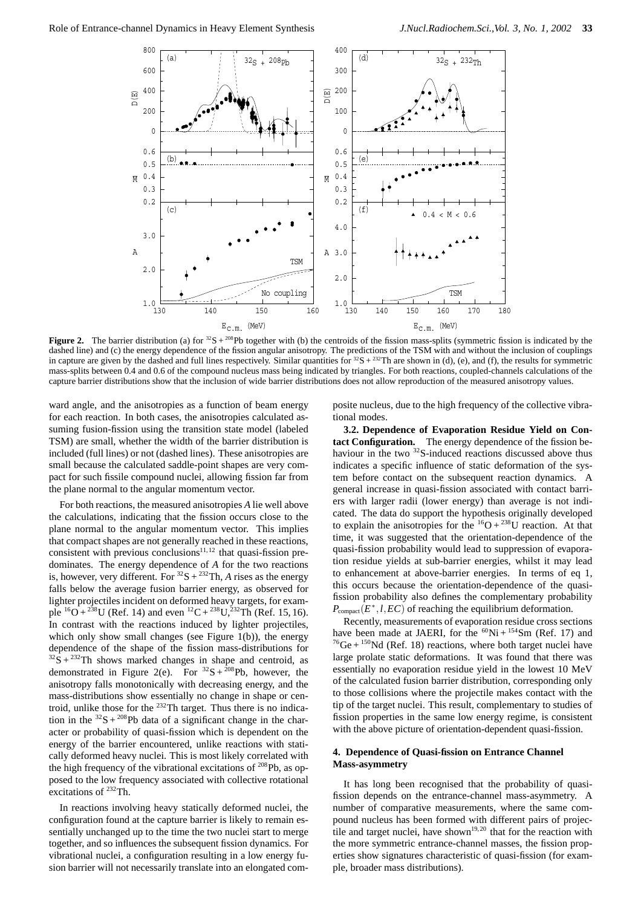

**Figure 2.** The barrier distribution (a) for  $32S + 208Pb$  together with (b) the centroids of the fission mass-splits (symmetric fission is indicated by the dashed line) and (c) the energy dependence of the fission angular anisotropy. The predictions of the TSM with and without the inclusion of couplings in capture are given by the dashed and full lines respectively. Similar quantities for  ${}^{32}S + {}^{232}Th$  are shown in (d), (e), and (f), the results for symmetric mass-splits between 0.4 and 0.6 of the compound nucleus mass being indicated by triangles. For both reactions, coupled-channels calculations of the capture barrier distributions show that the inclusion of wide barrier distributions does not allow reproduction of the measured anisotropy values.

ward angle, and the anisotropies as a function of beam energy for each reaction. In both cases, the anisotropies calculated assuming fusion-fission using the transition state model (labeled TSM) are small, whether the width of the barrier distribution is included (full lines) or not (dashed lines). These anisotropies are small because the calculated saddle-point shapes are very compact for such fissile compound nuclei, allowing fission far from the plane normal to the angular momentum vector.

For both reactions, the measured anisotropies *A* lie well above the calculations, indicating that the fission occurs close to the plane normal to the angular momentum vector. This implies that compact shapes are not generally reached in these reactions, consistent with previous conclusions $11,12$  that quasi-fission predominates. The energy dependence of *A* for the two reactions is, however, very different. For  ${}^{32}S + {}^{232}Th$ , *A* rises as the energy falls below the average fusion barrier energy, as observed for lighter projectiles incident on deformed heavy targets, for example  ${}^{16}O + {}^{238}U$  (Ref. 14) and even  ${}^{12}C + {}^{238}U, {}^{232}TH$  (Ref. 15, 16). In contrast with the reactions induced by lighter projectiles, which only show small changes (see Figure  $1(b)$ ), the energy dependence of the shape of the fission mass-distributions for  $32\text{ S} + 232\text{ Th}$  shows marked changes in shape and centroid, as demonstrated in Figure 2(e). For  ${}^{32}S + {}^{208}Pb$ , however, the anisotropy falls monotonically with decreasing energy, and the mass-distributions show essentially no change in shape or centroid, unlike those for the 232Th target. Thus there is no indication in the  ${}^{32}S + {}^{208}Pb$  data of a significant change in the character or probability of quasi-fission which is dependent on the energy of the barrier encountered, unlike reactions with statically deformed heavy nuclei. This is most likely correlated with the high frequency of the vibrational excitations of  $^{208}Pb$ , as opposed to the low frequency associated with collective rotational excitations of 232Th.

In reactions involving heavy statically deformed nuclei, the configuration found at the capture barrier is likely to remain essentially unchanged up to the time the two nuclei start to merge together, and so influences the subsequent fission dynamics. For vibrational nuclei, a configuration resulting in a low energy fusion barrier will not necessarily translate into an elongated composite nucleus, due to the high frequency of the collective vibrational modes.

**3.2. Dependence of Evaporation Residue Yield on Contact Configuration.** The energy dependence of the fission behaviour in the two  $32$ S-induced reactions discussed above thus indicates a specific influence of static deformation of the system before contact on the subsequent reaction dynamics. A general increase in quasi-fission associated with contact barriers with larger radii (lower energy) than average is not indicated. The data do support the hypothesis originally developed to explain the anisotropies for the  $^{16}O + ^{238}U$  reaction. At that time, it was suggested that the orientation-dependence of the quasi-fission probability would lead to suppression of evaporation residue yields at sub-barrier energies, whilst it may lead to enhancement at above-barrier energies. In terms of eq 1, this occurs because the orientation-dependence of the quasifission probability also defines the complementary probability *P*compact(*E*∗*,l,EC*) of reaching the equilibrium deformation.

Recently, measurements of evaporation residue cross sections have been made at JAERI, for the  ${}^{60}$ Ni +  ${}^{154}$ Sm (Ref. 17) and  $^{76}$ Ge +  $^{150}$ Nd (Ref. 18) reactions, where both target nuclei have large prolate static deformations. It was found that there was essentially no evaporation residue yield in the lowest 10 MeV of the calculated fusion barrier distribution, corresponding only to those collisions where the projectile makes contact with the tip of the target nuclei. This result, complementary to studies of fission properties in the same low energy regime, is consistent with the above picture of orientation-dependent quasi-fission.

## **4. Dependence of Quasi-fission on Entrance Channel Mass-asymmetry**

It has long been recognised that the probability of quasifission depends on the entrance-channel mass-asymmetry. A number of comparative measurements, where the same compound nucleus has been formed with different pairs of projectile and target nuclei, have shown<sup>19,20</sup> that for the reaction with the more symmetric entrance-channel masses, the fission properties show signatures characteristic of quasi-fission (for example, broader mass distributions).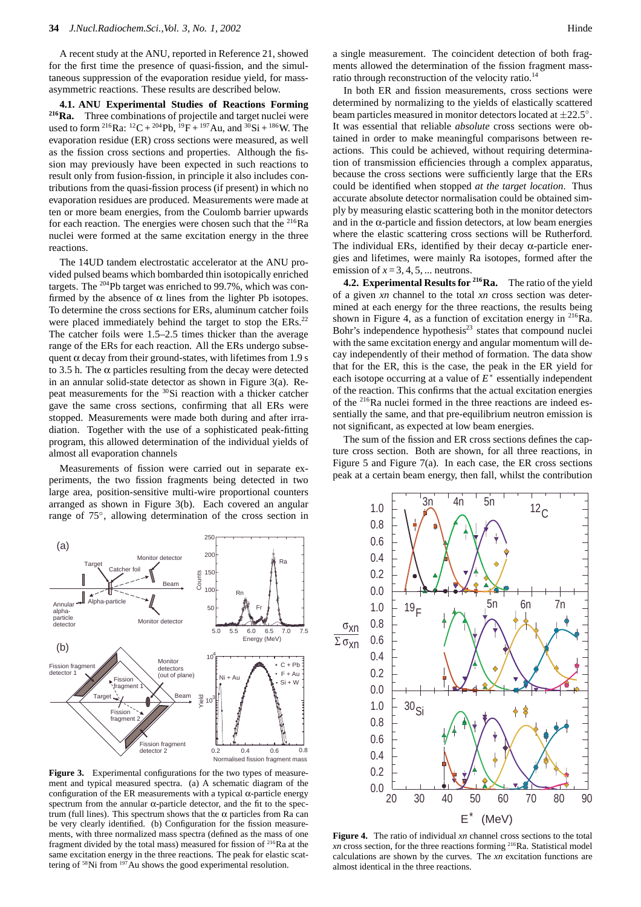A recent study at the ANU, reported in Reference 21, showed for the first time the presence of quasi-fission, and the simultaneous suppression of the evaporation residue yield, for massasymmetric reactions. These results are described below.

**4.1. ANU Experimental Studies of Reactions Forming 216Ra.** Three combinations of projectile and target nuclei were used to form <sup>216</sup>Ra: <sup>12</sup>C + <sup>204</sup>Pb, <sup>19</sup>F + <sup>197</sup>Au, and <sup>30</sup>Si + <sup>186</sup>W. The evaporation residue (ER) cross sections were measured, as well as the fission cross sections and properties. Although the fission may previously have been expected in such reactions to result only from fusion-fission, in principle it also includes contributions from the quasi-fission process (if present) in which no evaporation residues are produced. Measurements were made at ten or more beam energies, from the Coulomb barrier upwards for each reaction. The energies were chosen such that the <sup>216</sup>Ra nuclei were formed at the same excitation energy in the three reactions.

The 14UD tandem electrostatic accelerator at the ANU provided pulsed beams which bombarded thin isotopically enriched targets. The 204Pb target was enriched to 99.7%, which was confirmed by the absence of  $\alpha$  lines from the lighter Pb isotopes. To determine the cross sections for ERs, aluminum catcher foils were placed immediately behind the target to stop the ERs.<sup>22</sup> The catcher foils were 1.5–2.5 times thicker than the average range of the ERs for each reaction. All the ERs undergo subsequent  $\alpha$  decay from their ground-states, with lifetimes from 1.9 s to 3.5 h. The  $\alpha$  particles resulting from the decay were detected in an annular solid-state detector as shown in Figure 3(a). Repeat measurements for the 30Si reaction with a thicker catcher gave the same cross sections, confirming that all ERs were stopped. Measurements were made both during and after irradiation. Together with the use of a sophisticated peak-fitting program, this allowed determination of the individual yields of almost all evaporation channels

Measurements of fission were carried out in separate experiments, the two fission fragments being detected in two large area, position-sensitive multi-wire proportional counters arranged as shown in Figure 3(b). Each covered an angular range of 75◦, allowing determination of the cross section in

a single measurement. The coincident detection of both fragments allowed the determination of the fission fragment massratio through reconstruction of the velocity ratio.<sup>14</sup>

In both ER and fission measurements, cross sections were determined by normalizing to the yields of elastically scattered beam particles measured in monitor detectors located at  $\pm 22.5^\circ$ . It was essential that reliable *absolute* cross sections were obtained in order to make meaningful comparisons between reactions. This could be achieved, without requiring determination of transmission efficiencies through a complex apparatus, because the cross sections were sufficiently large that the ERs could be identified when stopped *at the target location*. Thus accurate absolute detector normalisation could be obtained simply by measuring elastic scattering both in the monitor detectors and in the  $\alpha$ -particle and fission detectors, at low beam energies where the elastic scattering cross sections will be Rutherford. The individual ERs, identified by their decay  $\alpha$ -particle energies and lifetimes, were mainly Ra isotopes, formed after the emission of  $x = 3, 4, 5, \dots$  neutrons.

**4.2. Experimental Results for 216Ra.** The ratio of the yield of a given *xn* channel to the total *xn* cross section was determined at each energy for the three reactions, the results being shown in Figure 4, as a function of excitation energy in  $^{216}Ra$ . Bohr's independence hypothesis $23$  states that compound nuclei with the same excitation energy and angular momentum will decay independently of their method of formation. The data show that for the ER, this is the case, the peak in the ER yield for each isotope occurring at a value of *E*<sup>∗</sup> essentially independent of the reaction. This confirms that the actual excitation energies of the 216Ra nuclei formed in the three reactions are indeed essentially the same, and that pre-equilibrium neutron emission is not significant, as expected at low beam energies.

The sum of the fission and ER cross sections defines the capture cross section. Both are shown, for all three reactions, in Figure 5 and Figure 7(a). In each case, the ER cross sections peak at a certain beam energy, then fall, whilst the contribution



**Figure 3.** Experimental configurations for the two types of measurement and typical measured spectra. (a) A schematic diagram of the configuration of the ER measurements with a typical  $\alpha$ -particle energy spectrum from the annular  $\alpha$ -particle detector, and the fit to the spectrum (full lines). This spectrum shows that the α particles from Ra can be very clearly identified. (b) Configuration for the fission measurements, with three normalized mass spectra (defined as the mass of one fragment divided by the total mass) measured for fission of  $216$ Ra at the same excitation energy in the three reactions. The peak for elastic scattering of 58Ni from 197Au shows the good experimental resolution.



**Figure 4.** The ratio of individual *xn* channel cross sections to the total *xn* cross section, for the three reactions forming 216Ra. Statistical model calculations are shown by the curves. The *xn* excitation functions are almost identical in the three reactions.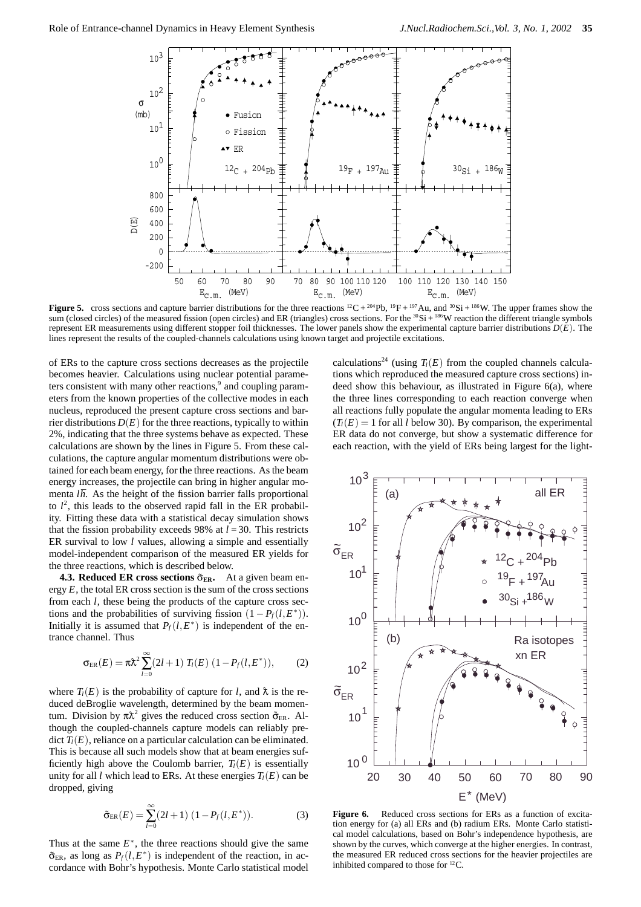

**Figure 5.** cross sections and capture barrier distributions for the three reactions  ${}^{12}C + {}^{204}Pb$ ,  ${}^{19}F + {}^{197}Au$ , and  ${}^{30}Si + {}^{186}W$ . The upper frames show the sum (closed circles) of the measured fission (open circles) and ER (triangles) cross sections. For the  $30$ Si +  $186$ W reaction the different triangle symbols represent ER measurements using different stopper foil thicknesses. The lower panels show the experimental capture barrier distributions *D*(*E*). The lines represent the results of the coupled-channels calculations using known target and projectile excitations.

of ERs to the capture cross sections decreases as the projectile becomes heavier. Calculations using nuclear potential parameters consistent with many other reactions, $9$  and coupling parameters from the known properties of the collective modes in each nucleus, reproduced the present capture cross sections and barrier distributions  $D(E)$  for the three reactions, typically to within 2%, indicating that the three systems behave as expected. These calculations are shown by the lines in Figure 5. From these calculations, the capture angular momentum distributions were obtained for each beam energy, for the three reactions. As the beam energy increases, the projectile can bring in higher angular momenta *lh*. As the height of the fission barrier falls proportional to  $l^2$ , this leads to the observed rapid fall in the ER probability. Fitting these data with a statistical decay simulation shows that the fission probability exceeds 98% at  $l = 30$ . This restricts ER survival to low *l* values, allowing a simple and essentially model-independent comparison of the measured ER yields for the three reactions, which is described below.

**4.3. Reduced ER cross sections**  $\tilde{\sigma}_{ER}$ . At a given beam energy  $E$ , the total ER cross section is the sum of the cross sections from each *l*, these being the products of the capture cross sections and the probabilities of surviving fission  $(1 - P_f(l, E^*))$ . Initially it is assumed that  $P_f(l, E^*)$  is independent of the entrance channel. Thus

$$
\sigma_{\text{ER}}(E) = \pi \lambda^2 \sum_{l=0}^{\infty} (2l+1) T_l(E) (1 - P_f(l, E^*)), \tag{2}
$$

where  $T_l(E)$  is the probability of capture for *l*, and  $\lambda$  is the reduced deBroglie wavelength, determined by the beam momentum. Division by  $\pi \lambda^2$  gives the reduced cross section  $\tilde{\sigma}_{ER}$ . Although the coupled-channels capture models can reliably predict  $T_l(E)$ , reliance on a particular calculation can be eliminated. This is because all such models show that at beam energies sufficiently high above the Coulomb barrier,  $T_l(E)$  is essentially unity for all *l* which lead to ERs. At these energies  $T_l(E)$  can be dropped, giving

$$
\tilde{\sigma}_{\text{ER}}(E) = \sum_{l=0}^{\infty} (2l+1) (1 - P_f(l, E^*)).
$$
 (3)

Thus at the same  $E^*$ , the three reactions should give the same  $\tilde{\sigma}_{ER}$ , as long as  $P_f(l, E^*)$  is independent of the reaction, in accordance with Bohr's hypothesis. Monte Carlo statistical model calculations<sup>24</sup> (using  $T_l(E)$  from the coupled channels calculations which reproduced the measured capture cross sections) indeed show this behaviour, as illustrated in Figure 6(a), where the three lines corresponding to each reaction converge when all reactions fully populate the angular momenta leading to ERs  $(T_l(E) = 1$  for all *l* below 30). By comparison, the experimental ER data do not converge, but show a systematic difference for each reaction, with the yield of ERs being largest for the light-



Figure 6. Reduced cross sections for ERs as a function of excitation energy for (a) all ERs and (b) radium ERs. Monte Carlo statistical model calculations, based on Bohr's independence hypothesis, are shown by the curves, which converge at the higher energies. In contrast, the measured ER reduced cross sections for the heavier projectiles are inhibited compared to those for 12C.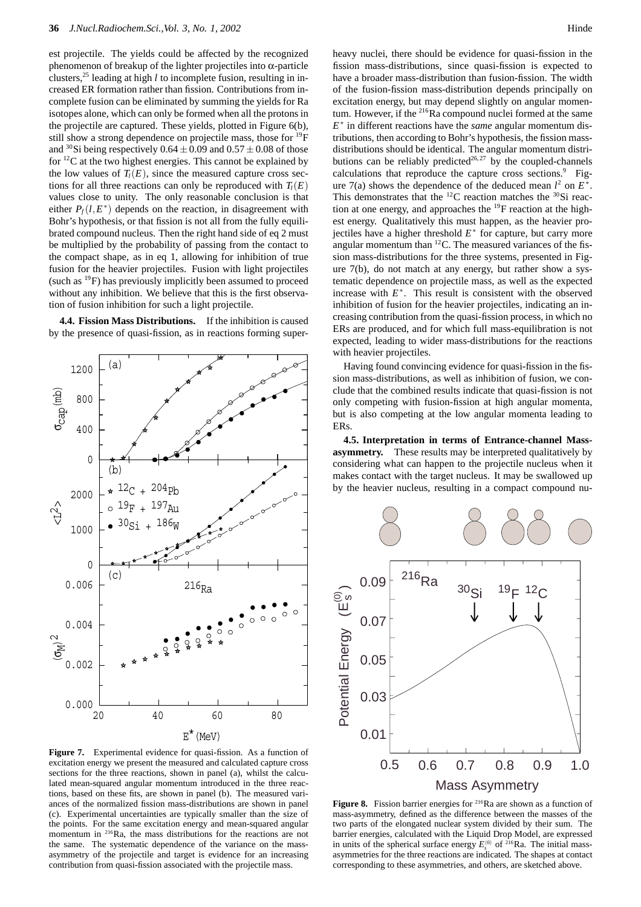est projectile. The yields could be affected by the recognized phenomenon of breakup of the lighter projectiles into α-particle clusters,<sup>25</sup> leading at high *l* to incomplete fusion, resulting in increased ER formation rather than fission. Contributions from incomplete fusion can be eliminated by summing the yields for Ra isotopes alone, which can only be formed when all the protons in the projectile are captured. These yields, plotted in Figure 6(b), still show a strong dependence on projectile mass, those for <sup>19</sup>F and <sup>30</sup>Si being respectively 0.64  $\pm$  0.09 and 0.57  $\pm$  0.08 of those for 12C at the two highest energies. This cannot be explained by the low values of  $T_l(E)$ , since the measured capture cross sections for all three reactions can only be reproduced with  $T_l(E)$ values close to unity. The only reasonable conclusion is that either  $P_f(l, E^*)$  depends on the reaction, in disagreement with Bohr's hypothesis, or that fission is not all from the fully equilibrated compound nucleus. Then the right hand side of eq 2 must be multiplied by the probability of passing from the contact to the compact shape, as in eq 1, allowing for inhibition of true fusion for the heavier projectiles. Fusion with light projectiles (such as  $^{19}$ F) has previously implicitly been assumed to proceed without any inhibition. We believe that this is the first observation of fusion inhibition for such a light projectile.

**4.4. Fission Mass Distributions.** If the inhibition is caused by the presence of quasi-fission, as in reactions forming super-



20 40 60 80

 $216$ Ra

 $0.000^{L}_{20}$ 

0.002

 $(σ<sub>M</sub>)<sup>2</sup>$ 

 $\lesssim$   $\frac{2}{1}$ 

σcap(mb)

0.004

0.006

1000

2000

0

400

800

1200

0

 $\overline{c}$ 

(b)

(a)

 $12C + 204Pb$  $19F + 197Au$  $30_{\text{Si}} + 186_{\text{W}}$  heavy nuclei, there should be evidence for quasi-fission in the fission mass-distributions, since quasi-fission is expected to have a broader mass-distribution than fusion-fission. The width of the fusion-fission mass-distribution depends principally on excitation energy, but may depend slightly on angular momentum. However, if the <sup>216</sup>Ra compound nuclei formed at the same *E*<sup>∗</sup> in different reactions have the *same* angular momentum distributions, then according to Bohr's hypothesis, the fission massdistributions should be identical. The angular momentum distributions can be reliably predicted<sup>26,27</sup> by the coupled-channels calculations that reproduce the capture cross sections.<sup>9</sup> Figure 7(a) shows the dependence of the deduced mean  $l^2$  on  $E^*$ . This demonstrates that the  ${}^{12}$ C reaction matches the  ${}^{30}$ Si reaction at one energy, and approaches the <sup>19</sup>F reaction at the highest energy. Qualitatively this must happen, as the heavier projectiles have a higher threshold  $E^*$  for capture, but carry more angular momentum than  ${}^{12}$ C. The measured variances of the fission mass-distributions for the three systems, presented in Figure 7(b), do not match at any energy, but rather show a systematic dependence on projectile mass, as well as the expected increase with  $E^*$ . This result is consistent with the observed inhibition of fusion for the heavier projectiles, indicating an increasing contribution from the quasi-fission process, in which no ERs are produced, and for which full mass-equilibration is not expected, leading to wider mass-distributions for the reactions with heavier projectiles.

Having found convincing evidence for quasi-fission in the fission mass-distributions, as well as inhibition of fusion, we conclude that the combined results indicate that quasi-fission is not only competing with fusion-fission at high angular momenta, but is also competing at the low angular momenta leading to ERs.

**4.5. Interpretation in terms of Entrance-channel Massasymmetry.** These results may be interpreted qualitatively by considering what can happen to the projectile nucleus when it makes contact with the target nucleus. It may be swallowed up by the heavier nucleus, resulting in a compact compound nu-



Figure 8. Fission barrier energies for <sup>216</sup>Ra are shown as a function of mass-asymmetry, defined as the difference between the masses of the two parts of the elongated nuclear system divided by their sum. The barrier energies, calculated with the Liquid Drop Model, are expressed in units of the spherical surface energy  $E_s^{(0)}$  of <sup>216</sup>Ra. The initial massasymmetries for the three reactions are indicated. The shapes at contact corresponding to these asymmetries, and others, are sketched above.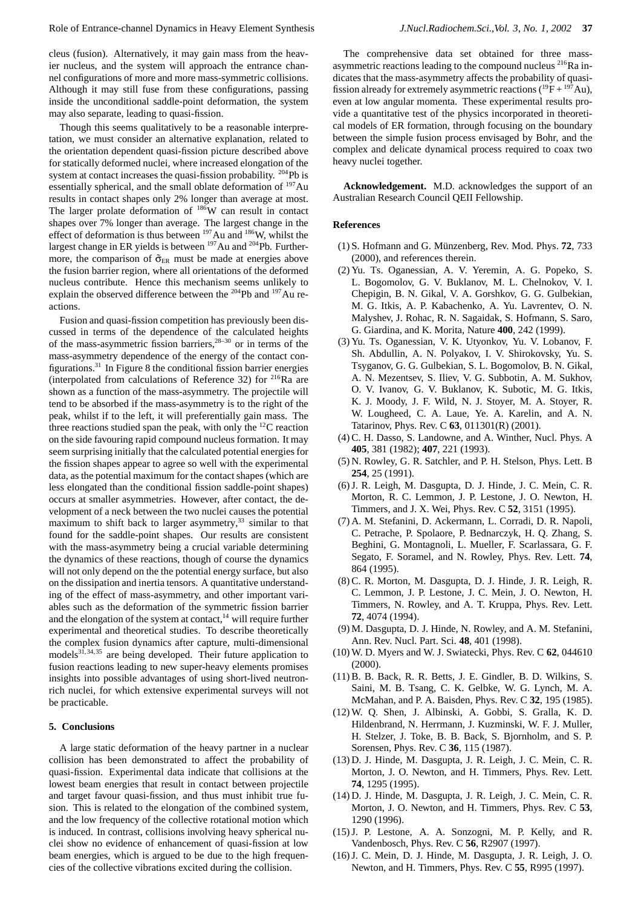cleus (fusion). Alternatively, it may gain mass from the heavier nucleus, and the system will approach the entrance channel configurations of more and more mass-symmetric collisions. Although it may still fuse from these configurations, passing inside the unconditional saddle-point deformation, the system may also separate, leading to quasi-fission.

Though this seems qualitatively to be a reasonable interpretation, we must consider an alternative explanation, related to the orientation dependent quasi-fission picture described above for statically deformed nuclei, where increased elongation of the system at contact increases the quasi-fission probability. <sup>204</sup>Pb is essentially spherical, and the small oblate deformation of  $197$  Au results in contact shapes only 2% longer than average at most. The larger prolate deformation of  $186W$  can result in contact shapes over 7% longer than average. The largest change in the effect of deformation is thus between  $197$  Au and  $186$ W, whilst the largest change in ER yields is between <sup>197</sup>Au and <sup>204</sup>Pb. Furthermore, the comparison of  $\tilde{\sigma}_{ER}$  must be made at energies above the fusion barrier region, where all orientations of the deformed nucleus contribute. Hence this mechanism seems unlikely to explain the observed difference between the 204Pb and 197Au reactions.

Fusion and quasi-fission competition has previously been discussed in terms of the dependence of the calculated heights of the mass-asymmetric fission barriers,  $28-30$  or in terms of the mass-asymmetry dependence of the energy of the contact configurations. $31$  In Figure 8 the conditional fission barrier energies (interpolated from calculations of Reference 32) for  $^{216}$ Ra are shown as a function of the mass-asymmetry. The projectile will tend to be absorbed if the mass-asymmetry is to the right of the peak, whilst if to the left, it will preferentially gain mass. The three reactions studied span the peak, with only the  $^{12}$ C reaction on the side favouring rapid compound nucleus formation. It may seem surprising initially that the calculated potential energies for the fission shapes appear to agree so well with the experimental data, as the potential maximum for the contact shapes (which are less elongated than the conditional fission saddle-point shapes) occurs at smaller asymmetries. However, after contact, the development of a neck between the two nuclei causes the potential maximum to shift back to larger asymmetry, $33$  similar to that found for the saddle-point shapes. Our results are consistent with the mass-asymmetry being a crucial variable determining the dynamics of these reactions, though of course the dynamics will not only depend on the the potential energy surface, but also on the dissipation and inertia tensors. A quantitative understanding of the effect of mass-asymmetry, and other important variables such as the deformation of the symmetric fission barrier and the elongation of the system at contact, $14$  will require further experimental and theoretical studies. To describe theoretically the complex fusion dynamics after capture, multi-dimensional models $3^{1,34,35}$  are being developed. Their future application to fusion reactions leading to new super-heavy elements promises insights into possible advantages of using short-lived neutronrich nuclei, for which extensive experimental surveys will not be practicable.

#### **5. Conclusions**

A large static deformation of the heavy partner in a nuclear collision has been demonstrated to affect the probability of quasi-fission. Experimental data indicate that collisions at the lowest beam energies that result in contact between projectile and target favour quasi-fission, and thus must inhibit true fusion. This is related to the elongation of the combined system, and the low frequency of the collective rotational motion which is induced. In contrast, collisions involving heavy spherical nuclei show no evidence of enhancement of quasi-fission at low beam energies, which is argued to be due to the high frequencies of the collective vibrations excited during the collision.

The comprehensive data set obtained for three massasymmetric reactions leading to the compound nucleus <sup>216</sup>Ra indicates that the mass-asymmetry affects the probability of quasifission already for extremely asymmetric reactions  $({}^{19}F + {}^{197}Au)$ , even at low angular momenta. These experimental results provide a quantitative test of the physics incorporated in theoretical models of ER formation, through focusing on the boundary between the simple fusion process envisaged by Bohr, and the complex and delicate dynamical process required to coax two heavy nuclei together.

**Acknowledgement.** M.D. acknowledges the support of an Australian Research Council QEII Fellowship.

#### **References**

- (1) S. Hofmann and G. M¨unzenberg, Rev. Mod. Phys. **72**, 733 (2000), and references therein.
- (2) Yu. Ts. Oganessian, A. V. Yeremin, A. G. Popeko, S. L. Bogomolov, G. V. Buklanov, M. L. Chelnokov, V. I. Chepigin, B. N. Gikal, V. A. Gorshkov, G. G. Gulbekian, M. G. Itkis, A. P. Kabachenko, A. Yu. Lavrentev, O. N. Malyshev, J. Rohac, R. N. Sagaidak, S. Hofmann, S. Saro, G. Giardina, and K. Morita, Nature **400**, 242 (1999).
- (3) Yu. Ts. Oganessian, V. K. Utyonkov, Yu. V. Lobanov, F. Sh. Abdullin, A. N. Polyakov, I. V. Shirokovsky, Yu. S. Tsyganov, G. G. Gulbekian, S. L. Bogomolov, B. N. Gikal, A. N. Mezentsev, S. Iliev, V. G. Subbotin, A. M. Sukhov, O. V. Ivanov, G. V. Buklanov, K. Subotic, M. G. Itkis, K. J. Moody, J. F. Wild, N. J. Stoyer, M. A. Stoyer, R. W. Lougheed, C. A. Laue, Ye. A. Karelin, and A. N. Tatarinov, Phys. Rev. C **63**, 011301(R) (2001).
- (4) C. H. Dasso, S. Landowne, and A. Winther, Nucl. Phys. A **405**, 381 (1982); **407**, 221 (1993).
- (5) N. Rowley, G. R. Satchler, and P. H. Stelson, Phys. Lett. B **254**, 25 (1991).
- (6) J. R. Leigh, M. Dasgupta, D. J. Hinde, J. C. Mein, C. R. Morton, R. C. Lemmon, J. P. Lestone, J. O. Newton, H. Timmers, and J. X. Wei, Phys. Rev. C **52**, 3151 (1995).
- (7) A. M. Stefanini, D. Ackermann, L. Corradi, D. R. Napoli, C. Petrache, P. Spolaore, P. Bednarczyk, H. Q. Zhang, S. Beghini, G. Montagnoli, L. Mueller, F. Scarlassara, G. F. Segato, F. Soramel, and N. Rowley, Phys. Rev. Lett. **74**, 864 (1995).
- (8) C. R. Morton, M. Dasgupta, D. J. Hinde, J. R. Leigh, R. C. Lemmon, J. P. Lestone, J. C. Mein, J. O. Newton, H. Timmers, N. Rowley, and A. T. Kruppa, Phys. Rev. Lett. **72**, 4074 (1994).
- (9) M. Dasgupta, D. J. Hinde, N. Rowley, and A. M. Stefanini, Ann. Rev. Nucl. Part. Sci. **48**, 401 (1998).
- (10) W. D. Myers and W. J. Swiatecki, Phys. Rev. C **62**, 044610 (2000).
- (11) B. B. Back, R. R. Betts, J. E. Gindler, B. D. Wilkins, S. Saini, M. B. Tsang, C. K. Gelbke, W. G. Lynch, M. A. McMahan, and P. A. Baisden, Phys. Rev. C **32**, 195 (1985).
- (12) W. Q. Shen, J. Albinski, A. Gobbi, S. Gralla, K. D. Hildenbrand, N. Herrmann, J. Kuzminski, W. F. J. Muller, H. Stelzer, J. Toke, B. B. Back, S. Bjornholm, and S. P. Sorensen, Phys. Rev. C **36**, 115 (1987).
- (13) D. J. Hinde, M. Dasgupta, J. R. Leigh, J. C. Mein, C. R. Morton, J. O. Newton, and H. Timmers, Phys. Rev. Lett. **74**, 1295 (1995).
- (14) D. J. Hinde, M. Dasgupta, J. R. Leigh, J. C. Mein, C. R. Morton, J. O. Newton, and H. Timmers, Phys. Rev. C **53**, 1290 (1996).
- (15) J. P. Lestone, A. A. Sonzogni, M. P. Kelly, and R. Vandenbosch, Phys. Rev. C **56**, R2907 (1997).
- (16) J. C. Mein, D. J. Hinde, M. Dasgupta, J. R. Leigh, J. O. Newton, and H. Timmers, Phys. Rev. C **55**, R995 (1997).